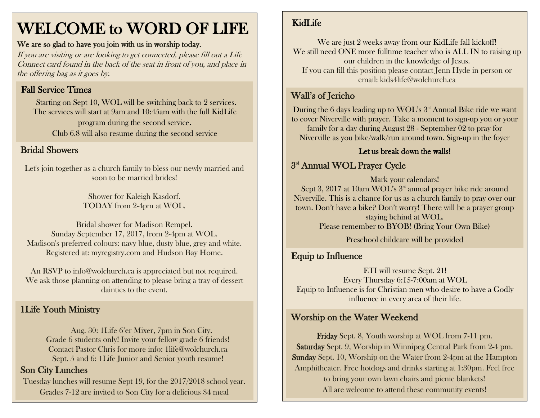# WELCOME to WORD OF LIFE

#### We are so glad to have you join with us in worship today.

If you are visiting or are looking to get connected, please fill out a Life Connect card found in the back of the seat in front of you, and place in the offering bag as it goes by.

# Fall Service Times

Starting on Sept 10, WOL will be switching back to 2 services. The services will start at 9am and 10:45am with the full KidLife program during the second service. Club 6.8 will also resume during the second service

#### Bridal Showers

Let's join together as a church family to bless our newly married and soon to be married brides!

> Shower for Kaleigh Kasdorf. TODAY from 2-4pm at WOL.

Bridal shower for Madison Rempel. Sunday September 17, 2017, from 2-4pm at WOL. Madison's preferred colours: navy blue, dusty blue, grey and white. Registered at: myregistry.com and Hudson Bay Home.

An RSVP to info@wolchurch.ca is appreciated but not required. We ask those planning on attending to please bring a tray of dessert dainties to the event.

# 1Life Youth Ministry

Aug. 30: 1Life 6'er Mixer, 7pm in Son City. Grade 6 students only! Invite your fellow grade 6 friends! Contact Pastor Chris for more info: [1life@wolchurch.ca](mailto:1life@wolchurch.ca) Sept. 5 and 6: 1Life Junior and Senior youth resume!

# Son City Lunches

Tuesday lunches will resume Sept 19, for the 2017/2018 school year. Grades 7-12 are invited to Son City for a delicious \$4 meal

# KidLife

We are just 2 weeks away from our KidLife fall kickoff! We still need ONE more fulltime teacher who is ALL IN to raising up our children in the knowledge of Jesus. If you can fill this position please contact Jenn Hyde in person or email: kids4life@wolchurch.ca

# Wall's of Jericho

During the 6 days leading up to WOL's  $3<sup>rd</sup>$  Annual Bike ride we want to cover Niverville with prayer. Take a moment to sign-up you or your family for a day during August 28 - September 02 to pray for Niverville as you bike/walk/run around town. Sign-up in the foyer

#### Let us break down the walls!

# $3<sup>rd</sup>$  Annual WOL Prayer Cycle

Mark your calendars! Sept 3, 2017 at 10am WOL's 3<sup>rd</sup> annual prayer bike ride around Niverville. This is a chance for us as a church family to pray over our town. Don't have a bike? Don't worry! There will be a prayer group staying behind at WOL. Please remember to BYOB! (Bring Your Own Bike)

Preschool childcare will be provided

# Equip to Influence

ETI will resume Sept. 21! Every Thursday 6:15-7:00am at WOL Equip to Influence is for Christian men who desire to have a Godly influence in every area of their life.

# Worship on the Water Weekend

Friday Sept. 8, Youth worship at WOL from 7-11 pm. Saturday Sept. 9, Worship in Winnipeg Central Park from 2-4 pm. Sunday Sept. 10, Worship on the Water from 2-4pm at the Hampton Amphitheater. Free hotdogs and drinks starting at 1:30pm. Feel free to bring your own lawn chairs and picnic blankets! All are welcome to attend these community events!